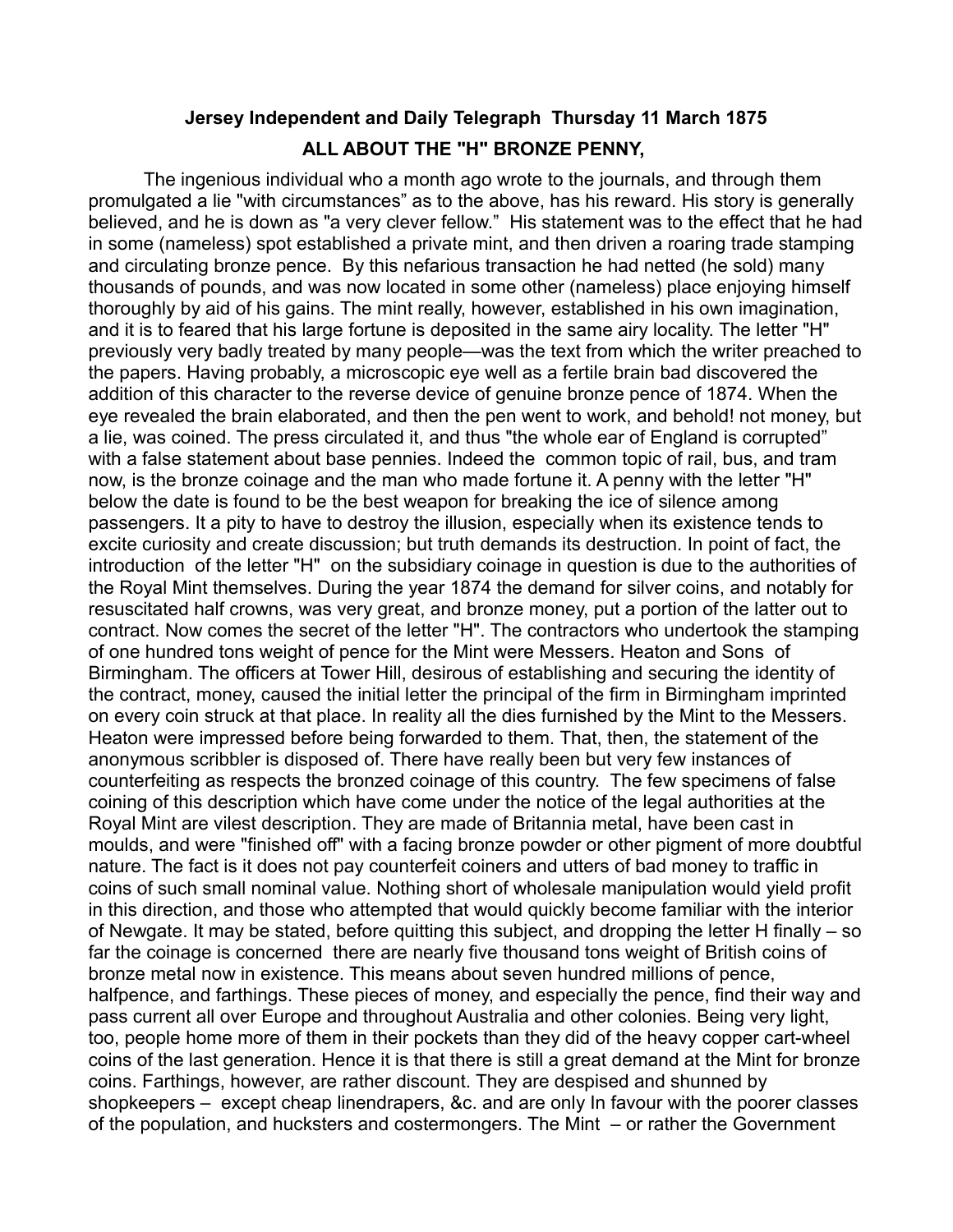## **Jersey Independent and Daily Telegraph Thursday 11 March 1875 ALL ABOUT THE "H" BRONZE PENNY,**

The ingenious individual who a month ago wrote to the journals, and through them promulgated a lie "with circumstances" as to the above, has his reward. His story is generally believed, and he is down as "a very clever fellow." His statement was to the effect that he had in some (nameless) spot established a private mint, and then driven a roaring trade stamping and circulating bronze pence. By this nefarious transaction he had netted (he sold) many thousands of pounds, and was now located in some other (nameless) place enjoying himself thoroughly by aid of his gains. The mint really, however, established in his own imagination, and it is to feared that his large fortune is deposited in the same airy locality. The letter "H" previously very badly treated by many people—was the text from which the writer preached to the papers. Having probably, a microscopic eye well as a fertile brain bad discovered the addition of this character to the reverse device of genuine bronze pence of 1874. When the eye revealed the brain elaborated, and then the pen went to work, and behold! not money, but a lie, was coined. The press circulated it, and thus "the whole ear of England is corrupted" with a false statement about base pennies. Indeed the common topic of rail, bus, and tram now, is the bronze coinage and the man who made fortune it. A penny with the letter "H" below the date is found to be the best weapon for breaking the ice of silence among passengers. It a pity to have to destroy the illusion, especially when its existence tends to excite curiosity and create discussion; but truth demands its destruction. In point of fact, the introduction of the letter "H" on the subsidiary coinage in question is due to the authorities of the Royal Mint themselves. During the year 1874 the demand for silver coins, and notably for resuscitated half crowns, was very great, and bronze money, put a portion of the latter out to contract. Now comes the secret of the letter "H". The contractors who undertook the stamping of one hundred tons weight of pence for the Mint were Messers. Heaton and Sons of Birmingham. The officers at Tower Hill, desirous of establishing and securing the identity of the contract, money, caused the initial letter the principal of the firm in Birmingham imprinted on every coin struck at that place. In reality all the dies furnished by the Mint to the Messers. Heaton were impressed before being forwarded to them. That, then, the statement of the anonymous scribbler is disposed of. There have really been but very few instances of counterfeiting as respects the bronzed coinage of this country. The few specimens of false coining of this description which have come under the notice of the legal authorities at the Royal Mint are vilest description. They are made of Britannia metal, have been cast in moulds, and were "finished off" with a facing bronze powder or other pigment of more doubtful nature. The fact is it does not pay counterfeit coiners and utters of bad money to traffic in coins of such small nominal value. Nothing short of wholesale manipulation would yield profit in this direction, and those who attempted that would quickly become familiar with the interior of Newgate. It may be stated, before quitting this subject, and dropping the letter H finally – so far the coinage is concerned there are nearly five thousand tons weight of British coins of bronze metal now in existence. This means about seven hundred millions of pence, halfpence, and farthings. These pieces of money, and especially the pence, find their way and pass current all over Europe and throughout Australia and other colonies. Being very light, too, people home more of them in their pockets than they did of the heavy copper cart-wheel coins of the last generation. Hence it is that there is still a great demand at the Mint for bronze coins. Farthings, however, are rather discount. They are despised and shunned by shopkeepers – except cheap linendrapers, &c. and are only In favour with the poorer classes of the population, and hucksters and costermongers. The Mint – or rather the Government